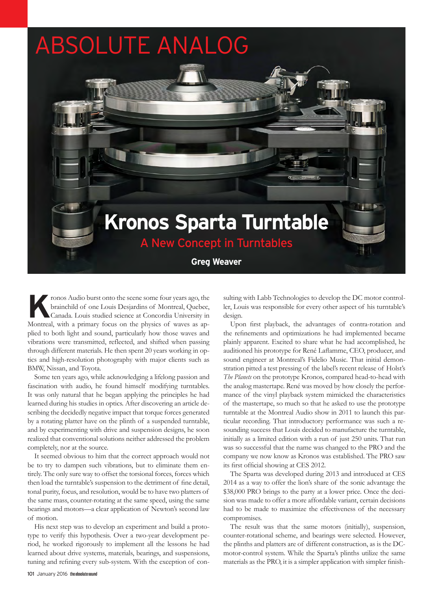

**K**ronos Audio burst onto the scene some four years ago, the brainchild of one Louis Desjardins of Montreal, Quebec, Canada. Louis studied science at Concordia University in Montreal, with a primary focus on the physics of waves as applied to both light and sound, particularly how those waves and vibrations were transmitted, reflected, and shifted when passing through different materials. He then spent 20 years working in optics and high-resolution photography with major clients such as BMW, Nissan, and Toyota.

Some ten years ago, while acknowledging a lifelong passion and fascination with audio, he found himself modifying turntables. It was only natural that he began applying the principles he had learned during his studies in optics. After discovering an article describing the decidedly negative impact that torque forces generated by a rotating platter have on the plinth of a suspended turntable, and by experimenting with drive and suspension designs, he soon realized that conventional solutions neither addressed the problem completely, nor at the source.

It seemed obvious to him that the correct approach would not be to try to dampen such vibrations, but to eliminate them entirely. The only sure way to offset the torsional forces, forces which then load the turntable's suspension to the detriment of fine detail, tonal purity, focus, and resolution, would be to have two platters of the same mass, counter-rotating at the same speed, using the same bearings and motors—a clear application of Newton's second law of motion.

His next step was to develop an experiment and build a prototype to verify this hypothesis. Over a two-year development period, he worked rigorously to implement all the lessons he had learned about drive systems, materials, bearings, and suspensions, tuning and refining every sub-system. With the exception of con-

sulting with Labb Technologies to develop the DC motor controller, Louis was responsible for every other aspect of his turntable's design.

Upon first playback, the advantages of contra-rotation and the refinements and optimizations he had implemented became plainly apparent. Excited to share what he had accomplished, he auditioned his prototype for René Laflamme, CEO, producer, and sound engineer at Montreal's Fidelio Music. That initial demonstration pitted a test pressing of the label's recent release of Holst's *The Planets* on the prototype Kronos, compared head-to-head with the analog mastertape. René was moved by how closely the performance of the vinyl playback system mimicked the characteristics of the mastertape, so much so that he asked to use the prototype turntable at the Montreal Audio show in 2011 to launch this particular recording. That introductory performance was such a resounding success that Louis decided to manufacture the turntable, initially as a limited edition with a run of just 250 units. That run was so successful that the name was changed to the PRO and the company we now know as Kronos was established. The PRO saw its first official showing at CES 2012.

The Sparta was developed during 2013 and introduced at CES 2014 as a way to offer the lion's share of the sonic advantage the \$38,000 PRO brings to the party at a lower price. Once the decision was made to offer a more affordable variant, certain decisions had to be made to maximize the effectiveness of the necessary compromises.

The result was that the same motors (initially), suspension, counter-rotational scheme, and bearings were selected. However, the plinths and platters are of different construction, as is the DCmotor-control system. While the Sparta's plinths utilize the same materials as the PRO, it is a simpler application with simpler finish-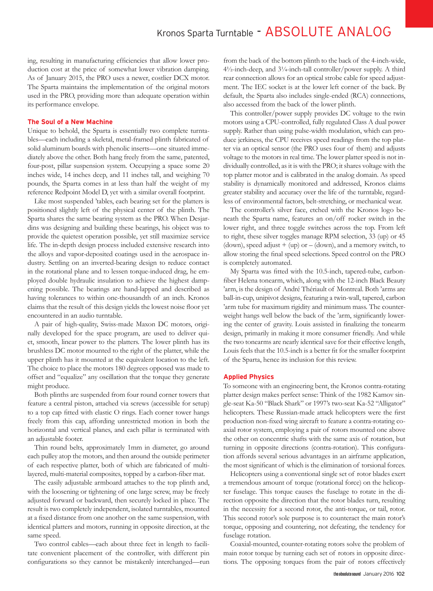# Kronos Sparta Turntable - ABSOLUTE ANALOG

ing, resulting in manufacturing efficiencies that allow lower production cost at the price of somewhat lower vibration damping. As of January 2015, the PRO uses a newer, costlier DCX motor. The Sparta maintains the implementation of the original motors used in the PRO, providing more than adequate operation within its performance envelope.

#### **The Soul of a New Machine**

Unique to behold, the Sparta is essentially two complete turntables—each including a skeletal, metal-framed plinth fabricated of solid aluminum boards with phenolic inserts—one situated immediately above the other. Both hang freely from the same, patented, four-post, pillar suspension system. Occupying a space some 20 inches wide, 14 inches deep, and 11 inches tall, and weighing 70 pounds, the Sparta comes in at less than half the weight of my reference Redpoint Model D, yet with a similar overall footprint.

Like most suspended 'tables, each bearing set for the platters is positioned slightly left of the physical center of the plinth. The Sparta shares the same bearing system as the PRO. When Desjardins was designing and building these bearings, his object was to provide the quietest operation possible, yet still maximize service life. The in-depth design process included extensive research into the alloys and vapor-deposited coatings used in the aerospace industry. Settling on an inverted-bearing design to reduce contact in the rotational plane and to lessen torque-induced drag, he employed double hydraulic insulation to achieve the highest dampening possible. The bearings are hand-lapped and described as having tolerances to within one-thousandth of an inch. Kronos claims that the result of this design yields the lowest noise floor yet encountered in an audio turntable.

A pair of high-quality, Swiss-made Maxon DC motors, originally developed for the space program, are used to deliver quiet, smooth, linear power to the platters. The lower plinth has its brushless DC motor mounted to the right of the platter, while the upper plinth has it mounted at the equivalent location to the left. The choice to place the motors 180 degrees opposed was made to offset and "equalize" any oscillation that the torque they generate might produce.

Both plinths are suspended from four round corner towers that feature a central piston, attached via screws (accessible for setup) to a top cap fitted with elastic O rings. Each corner tower hangs freely from this cap, affording unrestricted motion in both the horizontal and vertical planes, and each pillar is terminated with an adjustable footer.

Thin round belts, approximately 1mm in diameter, go around each pulley atop the motors, and then around the outside perimeter of each respective platter, both of which are fabricated of multilayered, multi-material composites, topped by a carbon-fiber mat.

The easily adjustable armboard attaches to the top plinth and, with the loosening or tightening of one large screw, may be freely adjusted forward or backward, then securely locked in place. The result is two completely independent, isolated turntables, mounted at a fixed distance from one another on the same suspension, with identical platters and motors, running in opposite direction, at the same speed.

Two control cables—each about three feet in length to facilitate convenient placement of the controller, with different pin configurations so they cannot be mistakenly interchanged—run from the back of the bottom plinth to the back of the 4-inch-wide, 4½-inch-deep, and 3¼-inch-tall controller/power supply. A third rear connection allows for an optical strobe cable for speed adjustment. The IEC socket is at the lower left corner of the back. By default, the Sparta also includes single-ended (RCA) connections, also accessed from the back of the lower plinth.

This controller/power supply provides DC voltage to the twin motors using a CPU-controlled, fully regulated Class A dual power supply. Rather than using pulse-width modulation, which can produce jerkiness, the CPU receives speed readings from the top platter via an optical sensor (the PRO uses four of them) and adjusts voltage to the motors in real time. The lower platter speed is not individually controlled, as it is with the PRO; it shares voltage with the top platter motor and is calibrated in the analog domain. As speed stability is dynamically monitored and addressed, Kronos claims greater stability and accuracy over the life of the turntable, regardless of environmental factors, belt-stretching, or mechanical wear.

The controller's silver face, etched with the Kronos logo beneath the Sparta name, features an on/off rocker switch in the lower right, and three toggle switches across the top. From left to right, these silver toggles manage RPM selection, 33 (up) or 45 (down), speed adjust + (up) or – (down), and a memory switch, to allow storing the final speed selections. Speed control on the PRO is completely automated.

My Sparta was fitted with the 10.5-inch, tapered-tube, carbonfiber Helena tonearm, which, along with the 12-inch Black Beauty 'arm, is the design of André Thériault of Montreal. Both 'arms are ball-in-cup, unipivot designs, featuring a twin-wall, tapered, carbon 'arm tube for maximum rigidity and minimum mass. The counterweight hangs well below the back of the 'arm, significantly lowering the center of gravity. Louis assisted in finalizing the tonearm design, primarily in making it more consumer friendly. And while the two tonearms are nearly identical save for their effective length, Louis feels that the 10.5-inch is a better fit for the smaller footprint of the Sparta, hence its inclusion for this review.

### **Applied Physics**

To someone with an engineering bent, the Kronos contra-rotating platter design makes perfect sense: Think of the 1982 Kamov single-seat Ka-50 "Black Shark" or 1997's two-seat Ka-52 "Alligator" helicopters. These Russian-made attack helicopters were the first production non-fixed wing aircraft to feature a contra-rotating coaxial rotor system, employing a pair of rotors mounted one above the other on concentric shafts with the same axis of rotation, but turning in opposite directions (contra-rotation). This configuration affords several serious advantages in an airframe application, the most significant of which is the elimination of torsional forces.

Helicopters using a conventional single set of rotor blades exert a tremendous amount of torque (rotational force) on the helicopter fuselage. This torque causes the fuselage to rotate in the direction opposite the direction that the rotor blades turn, resulting in the necessity for a second rotor, the anti-torque, or tail, rotor. This second rotor's sole purpose is to counteract the main rotor's torque, opposing and countering, not defeating, the tendency for fuselage rotation.

Coaxial-mounted, counter-rotating rotors solve the problem of main rotor torque by turning each set of rotors in opposite directions. The opposing torques from the pair of rotors effectively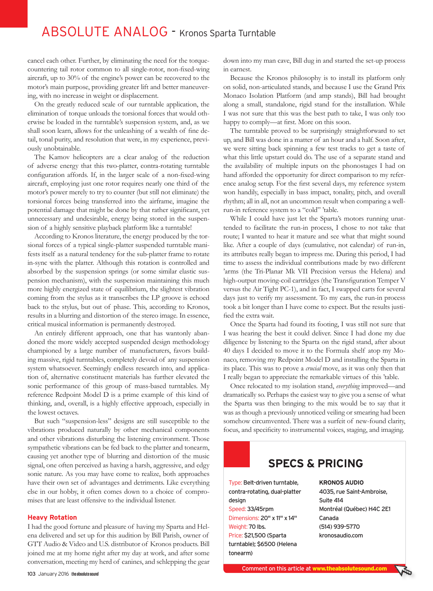# ABSOLUTE ANALOG - Kronos Sparta Turntable

cancel each other. Further, by eliminating the need for the torquecountering tail rotor common to all single-rotor, non-fixed-wing aircraft, up to 30% of the engine's power can be recovered to the motor's main purpose, providing greater lift and better maneuvering, with no increase in weight or displacement.

On the greatly reduced scale of our turntable application, the elimination of torque unloads the torsional forces that would otherwise be loaded in the turntable's suspension system, and, as we shall soon learn, allows for the unleashing of a wealth of fine detail, tonal purity, and resolution that were, in my experience, previously unobtainable.

The Kamov helicopters are a clear analog of the reduction of adverse energy that this two-platter, contra-rotating turntable configuration affords. If, in the larger scale of a non-fixed-wing aircraft, employing just one rotor requires nearly one third of the motor's power merely to try to counter (but still not eliminate) the torsional forces being transferred into the airframe, imagine the potential damage that might be done by that rather significant, yet unnecessary and undesirable, energy being stored in the suspension of a highly sensitive playback platform like a turntable!

According to Kronos literature, the energy produced by the torsional forces of a typical single-platter suspended turntable manifests itself as a natural tendency for the sub-platter frame to rotate in-sync with the platter. Although this rotation is controlled and absorbed by the suspension springs (or some similar elastic suspension mechanism), with the suspension maintaining this much more highly energized state of equilibrium, the slightest vibration coming from the stylus as it transcribes the LP groove is echoed back to the stylus, but out of phase. This, according to Kronos, results in a blurring and distortion of the stereo image. In essence, critical musical information is permanently destroyed.

An entirely different approach, one that has wantonly abandoned the more widely accepted suspended design methodology championed by a large number of manufacturers, favors building massive, rigid turntables, completely devoid of any suspension system whatsoever. Seemingly endless research into, and application of, alternative constituent materials has further elevated the sonic performance of this group of mass-based turntables. My reference Redpoint Model D is a prime example of this kind of thinking, and, overall, is a highly effective approach, especially in the lowest octaves.

But such "suspension-less" designs are still susceptible to the vibrations produced naturally by other mechanical components and other vibrations disturbing the listening environment. Those sympathetic vibrations can be fed back to the platter and tonearm, causing yet another type of blurring and distortion of the music signal, one often perceived as having a harsh, aggressive, and edgy sonic nature. As you may have come to realize, both approaches have their own set of advantages and detriments. Like everything else in our hobby, it often comes down to a choice of compromises that are least offensive to the individual listener.

#### **Heavy Rotation**

I had the good fortune and pleasure of having my Sparta and Helena delivered and set up for this audition by Bill Parish, owner of GTT Audio & Video and U.S. distributor of Kronos products. Bill joined me at my home right after my day at work, and after some conversation, meeting my herd of canines, and schlepping the gear down into my man cave, Bill dug in and started the set-up process in earnest.

Because the Kronos philosophy is to install its platform only on solid, non-articulated stands, and because I use the Grand Prix Monaco Isolation Platform (and amp stands), Bill had brought along a small, standalone, rigid stand for the installation. While I was not sure that this was the best path to take, I was only too happy to comply—at first. More on this soon.

The turntable proved to be surprisingly straightforward to set up, and Bill was done in a matter of an hour and a half. Soon after, we were sitting back spinning a few test tracks to get a taste of what this little upstart could do. The use of a separate stand and the availability of multiple inputs on the phonostages I had on hand afforded the opportunity for direct comparison to my reference analog setup. For the first several days, my reference system won handily, especially in bass impact, tonality, pitch, and overall rhythm; all in all, not an uncommon result when comparing a wellrun-in reference system to a "cold" 'table.

While I could have just let the Sparta's motors running unattended to facilitate the run-in process, I chose to not take that route; I wanted to hear it mature and see what that might sound like. After a couple of days (cumulative, not calendar) of run-in, its attributes really began to impress me. During this period, I had time to assess the individual contributions made by two different 'arms (the Tri-Planar Mk VII Precision versus the Helena) and high-output moving-coil cartridges (the Transfiguration Temper V versus the Air Tight PC-1), and in fact, I swapped carts for several days just to verify my assessment. To my ears, the run-in process took a bit longer than I have come to expect. But the results justified the extra wait.

Once the Sparta had found its footing, I was still not sure that I was hearing the best it could deliver. Since I had done my due diligence by listening to the Sparta on the rigid stand, after about 40 days I decided to move it to the Formula shelf atop my Monaco, removing my Redpoint Model D and installing the Sparta in its place. This was to prove a *crucial* move, as it was only then that I really began to appreciate the remarkable virtues of this 'table.

Once relocated to my isolation stand, *everything* improved—and dramatically so. Perhaps the easiest way to give you a sense of what the Sparta was then bringing to the mix would be to say that it was as though a previously unnoticed veiling or smearing had been somehow circumvented. There was a surfeit of new-found clarity, focus, and specificity to instrumental voices, staging, and imaging.

## **SPECS & PRICING**

Type: Belt-driven turntable, contra-rotating, dual-platter design Speed: 33/45rpm Dimensions: 20" x 11" x 14" Weight: 70 lbs. Price: \$21,500 (Sparta turntable); \$6500 (Helena tonearm)

**KRONOS AUDIO** 4035, rue Saint-Ambroise, Suite 414 Montréal (Québec) H4C 2E1 Canada (514) 939-5770 kronosaudio.com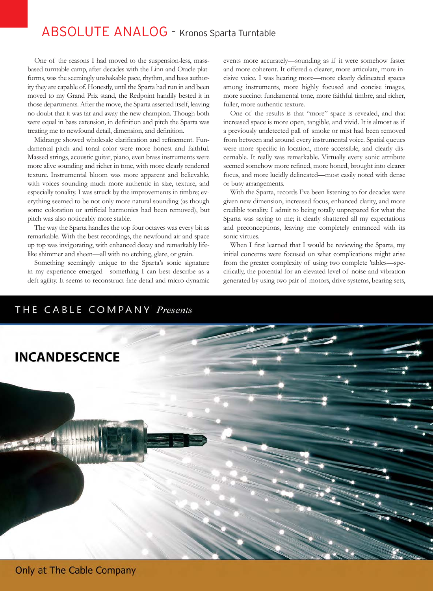## ABSOLUTE ANALOG - Kronos Sparta Turntable

One of the reasons I had moved to the suspension-less, massbased turntable camp, after decades with the Linn and Oracle platforms, was the seemingly unshakable pace, rhythm, and bass authority they are capable of. Honestly, until the Sparta had run in and been moved to my Grand Prix stand, the Redpoint handily bested it in those departments. After the move, the Sparta asserted itself, leaving no doubt that it was far and away the new champion. Though both were equal in bass extension, in definition and pitch the Sparta was treating me to newfound detail, dimension, and definition.

Midrange showed wholesale clarification and refinement. Fundamental pitch and tonal color were more honest and faithful. Massed strings, acoustic guitar, piano, even brass instruments were more alive sounding and richer in tone, with more clearly rendered texture. Instrumental bloom was more apparent and believable, with voices sounding much more authentic in size, texture, and especially tonality. I was struck by the improvements in timbre; everything seemed to be not only more natural sounding (as though some coloration or artificial harmonics had been removed), but pitch was also noticeably more stable.

The way the Sparta handles the top four octaves was every bit as remarkable. With the best recordings, the newfound air and space up top was invigorating, with enhanced decay and remarkably lifelike shimmer and sheen—all with no etching, glare, or grain.

Something seemingly unique to the Sparta's sonic signature in my experience emerged—something I can best describe as a deft agility. It seems to reconstruct fine detail and micro-dynamic

events more accurately—sounding as if it were somehow faster and more coherent. It offered a clearer, more articulate, more incisive voice. I was hearing more—more clearly delineated spaces among instruments, more highly focused and concise images, more succinct fundamental tone, more faithful timbre, and richer, fuller, more authentic texture.

One of the results is that "more" space is revealed, and that increased space is more open, tangible, and vivid. It is almost as if a previously undetected pall of smoke or mist had been removed from between and around every instrumental voice. Spatial queues were more specific in location, more accessible, and clearly discernable. It really was remarkable. Virtually every sonic attribute seemed somehow more refined, more honed, brought into clearer focus, and more lucidly delineated—most easily noted with dense or busy arrangements.

With the Sparta, records I've been listening to for decades were given new dimension, increased focus, enhanced clarity, and more credible tonality. I admit to being totally unprepared for what the Sparta was saying to me; it clearly shattered all my expectations and preconceptions, leaving me completely entranced with its sonic virtues.

When I first learned that I would be reviewing the Sparta, my initial concerns were focused on what complications might arise from the greater complexity of using two complete 'tables—specifically, the potential for an elevated level of noise and vibration generated by using two pair of motors, drive systems, bearing sets,

## THE CABLE COMPANY Presents